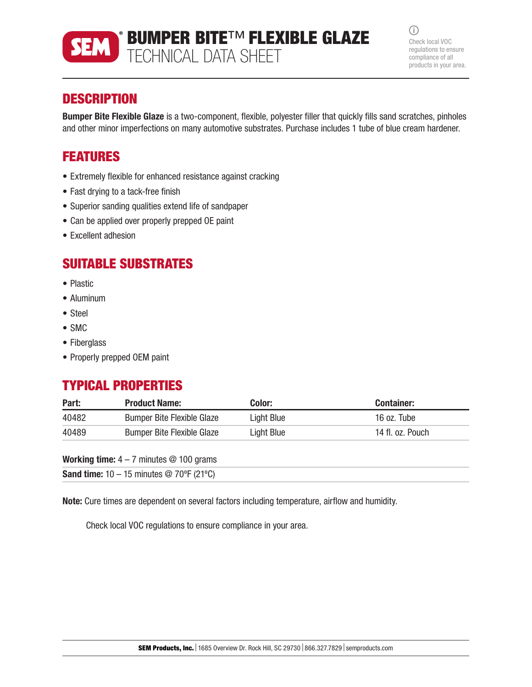

BUMPER BITE™ FLEXIBLE GLAZE TECHNICAL DATA SHEET

 $(i)$ Check local VOC regulations to ensure compliance of all products in your area.

# **DESCRIPTION**

Bumper Bite Flexible Glaze is a two-component, flexible, polyester filler that quickly fills sand scratches, pinholes and other minor imperfections on many automotive substrates. Purchase includes 1 tube of blue cream hardener.

# FEATURES

- Extremely flexible for enhanced resistance against cracking
- Fast drying to a tack-free finish
- Superior sanding qualities extend life of sandpaper
- Can be applied over properly prepped OE paint
- Excellent adhesion

# SUITABLE SUBSTRATES

- Plastic
- Aluminum
- Steel
- SMC
- Fiberglass
- Properly prepped OEM paint

# TYPICAL PROPERTIES

| Part: | <b>Product Name:</b>              | Color:     | <b>Container:</b> |
|-------|-----------------------------------|------------|-------------------|
| 40482 | <b>Bumper Bite Flexible Glaze</b> | Light Blue | 16 oz. Tube       |
| 40489 | <b>Bumper Bite Flexible Glaze</b> | Light Blue | 14 fl. oz. Pouch  |

| <b>Working time:</b> $4 - 7$ minutes $@$ 100 grams |  |  |  |  |  |
|----------------------------------------------------|--|--|--|--|--|
|----------------------------------------------------|--|--|--|--|--|

**Sand time:**  $10 - 15$  minutes @ 70°F (21°C)

Note: Cure times are dependent on several factors including temperature, airflow and humidity.

Check local VOC regulations to ensure compliance in your area.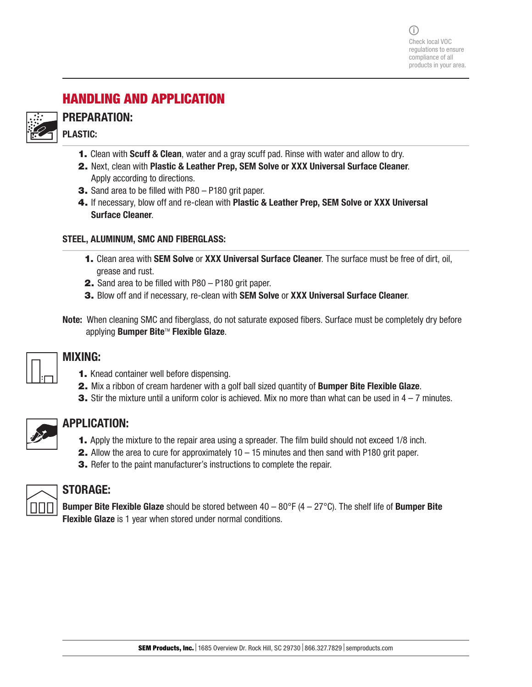$(i)$ Check local VOC regulations to ensure compliance of all products in your area.

# HANDLING AND APPLICATION



## PREPARATION: PLASTIC:

- 1. Clean with Scuff & Clean, water and a gray scuff pad. Rinse with water and allow to dry.
- 2. Next, clean with Plastic & Leather Prep, SEM Solve or XXX Universal Surface Cleaner. Apply according to directions.
- 3. Sand area to be filled with P80 P180 grit paper.
- 4. If necessary, blow off and re-clean with Plastic & Leather Prep, SEM Solve or XXX Universal Surface Cleaner.

#### STEEL, ALUMINUM, SMC AND FIBERGLASS:

- **1.** Clean area with **SEM Solve or XXX Universal Surface Cleaner**. The surface must be free of dirt, oil, grease and rust.
- 2. Sand area to be filled with P80 P180 grit paper.
- 3. Blow off and if necessary, re-clean with SEM Solve or XXX Universal Surface Cleaner.
- Note: When cleaning SMC and fiberglass, do not saturate exposed fibers. Surface must be completely dry before applying **Bumper Bite™ Flexible Glaze.**

|  | п |  |  |
|--|---|--|--|
|  | п |  |  |

#### MIXING:

- 1. Knead container well before dispensing.
- 2. Mix a ribbon of cream hardener with a golf ball sized quantity of **Bumper Bite Flexible Glaze**.
- **3.** Stir the mixture until a uniform color is achieved. Mix no more than what can be used in  $4 7$  minutes.

|--|--|

#### APPLICATION:

- 1. Apply the mixture to the repair area using a spreader. The film build should not exceed 1/8 inch.
- **2.** Allow the area to cure for approximately  $10 15$  minutes and then sand with P180 grit paper.
- **3.** Refer to the paint manufacturer's instructions to complete the repair.



## STORAGE:

**Bumper Bite Flexible Glaze** should be stored between  $40 - 80^{\circ}F (4 - 27^{\circ}C)$ . The shelf life of **Bumper Bite** Flexible Glaze is 1 year when stored under normal conditions.